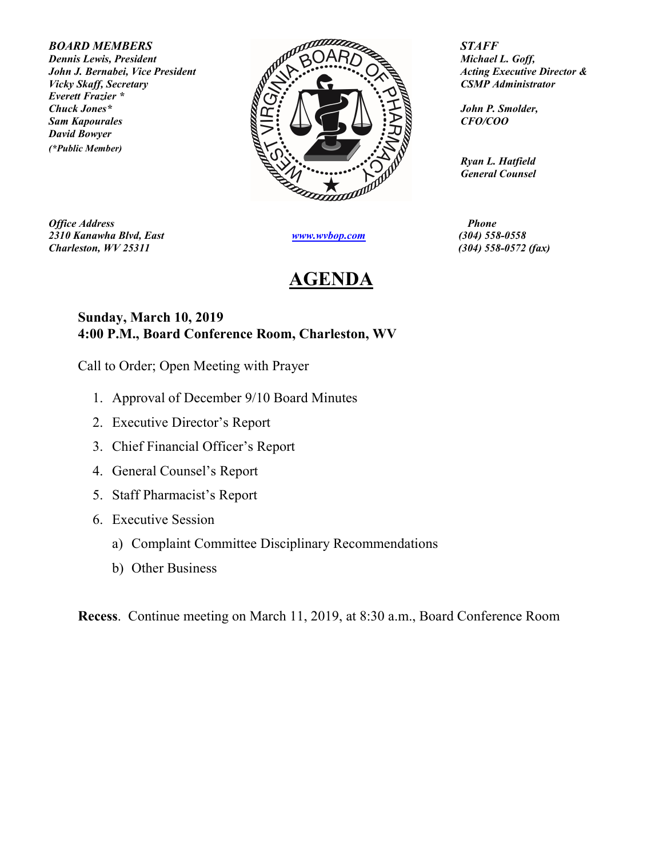Everett Frazier \* David Bowyer (\*Public Member)



**Office Address Phone** 2310 Kanawha Blvd, East www.wvbop.com (304) 558-0558  $Charleston, \, WV 25311$  (304) 558-0572 (fax)

## AGENDA

 Ryan L. Hatfield General Counsel

## Sunday, March 10, 2019 4:00 P.M., Board Conference Room, Charleston, WV

Call to Order; Open Meeting with Prayer

- 1. Approval of December 9/10 Board Minutes
- 2. Executive Director's Report
- 3. Chief Financial Officer's Report
- 4. General Counsel's Report
- 5. Staff Pharmacist's Report
- 6. Executive Session
	- a) Complaint Committee Disciplinary Recommendations
	- b) Other Business

Recess. Continue meeting on March 11, 2019, at 8:30 a.m., Board Conference Room